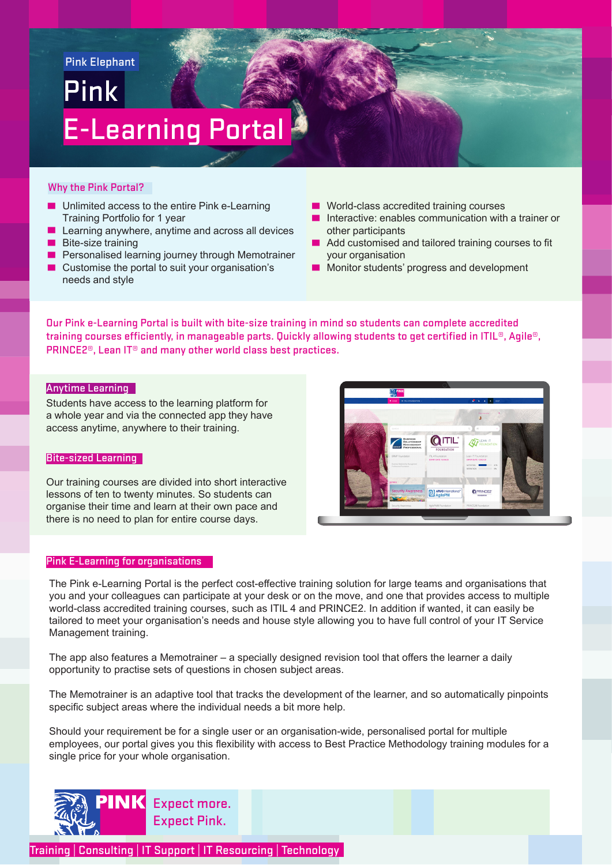# Pink Pink Elephant E-Learning Portal

# Why the Pink Portal?

- Unlimited access to the entire Pink e-Learning Training Portfolio for 1 year
- Learning anywhere, anytime and across all devices
- Bite-size training
- Personalised learning journey through Memotrainer
- Customise the portal to suit your organisation's needs and style
- World-class accredited training courses
- Interactive: enables communication with a trainer or other participants
- Add customised and tailored training courses to fit your organisation
- Monitor students' progress and development

Our Pink e-Learning Portal is built with bite-size training in mind so students can complete accredited training courses efficiently, in manageable parts. Quickly allowing students to get certified in ITIL®, Agile®, PRINCE2®, Lean IT® and many other world class best practices.

# Anytime Learning

Students have access to the learning platform for a whole year and via the connected app they have access anytime, anywhere to their training.

# Bite-sized Learning

Our training courses are divided into short interactive lessons of ten to twenty minutes. So students can organise their time and learn at their own pace and there is no need to plan for entire course days.

# Pink E-Learning for organisations

**QITIL OPRINCE** 

The Pink e-Learning Portal is the perfect cost-effective training solution for large teams and organisations that you and your colleagues can participate at your desk or on the move, and one that provides access to multiple world-class accredited training courses, such as ITIL 4 and PRINCE2. In addition if wanted, it can easily be tailored to meet your organisation's needs and house style allowing you to have full control of your IT Service Management training.

The app also features a Memotrainer – a specially designed revision tool that offers the learner a daily opportunity to practise sets of questions in chosen subject areas.

The Memotrainer is an adaptive tool that tracks the development of the learner, and so automatically pinpoints specific subject areas where the individual needs a bit more help.

Should your requirement be for a single user or an organisation-wide, personalised portal for multiple employees, our portal gives you this flexibility with access to Best Practice Methodology training modules for a single price for your whole organisation.



Training | Consulting | IT Support | IT Resourcing | Technology